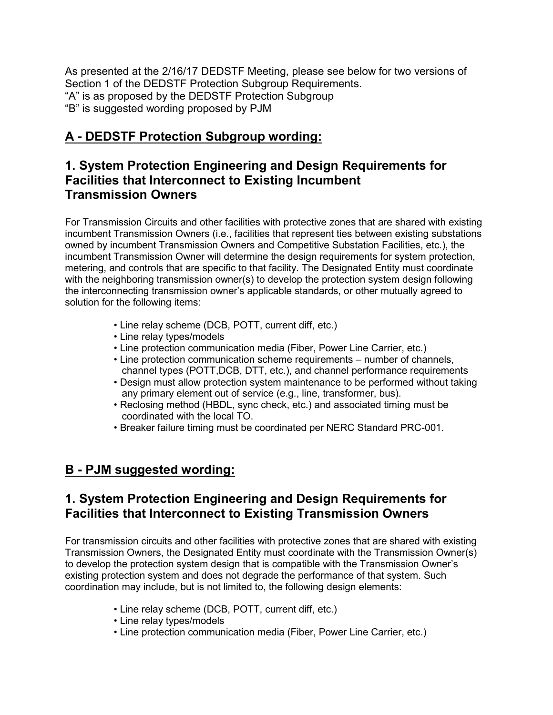As presented at the 2/16/17 DEDSTF Meeting, please see below for two versions of Section 1 of the DEDSTF Protection Subgroup Requirements. "A" is as proposed by the DEDSTF Protection Subgroup "B" is suggested wording proposed by PJM

## **A - DEDSTF Protection Subgroup wording:**

## **1. System Protection Engineering and Design Requirements for Facilities that Interconnect to Existing Incumbent Transmission Owners**

For Transmission Circuits and other facilities with protective zones that are shared with existing incumbent Transmission Owners (i.e., facilities that represent ties between existing substations owned by incumbent Transmission Owners and Competitive Substation Facilities, etc.), the incumbent Transmission Owner will determine the design requirements for system protection, metering, and controls that are specific to that facility. The Designated Entity must coordinate with the neighboring transmission owner(s) to develop the protection system design following the interconnecting transmission owner's applicable standards, or other mutually agreed to solution for the following items:

- Line relay scheme (DCB, POTT, current diff, etc.)
- Line relay types/models
- Line protection communication media (Fiber, Power Line Carrier, etc.)
- Line protection communication scheme requirements number of channels, channel types (POTT,DCB, DTT, etc.), and channel performance requirements
- Design must allow protection system maintenance to be performed without taking any primary element out of service (e.g., line, transformer, bus).
- Reclosing method (HBDL, sync check, etc.) and associated timing must be coordinated with the local TO.
- Breaker failure timing must be coordinated per NERC Standard PRC-001.

## **B - PJM suggested wording:**

## **1. System Protection Engineering and Design Requirements for Facilities that Interconnect to Existing Transmission Owners**

For transmission circuits and other facilities with protective zones that are shared with existing Transmission Owners, the Designated Entity must coordinate with the Transmission Owner(s) to develop the protection system design that is compatible with the Transmission Owner's existing protection system and does not degrade the performance of that system. Such coordination may include, but is not limited to, the following design elements:

- Line relay scheme (DCB, POTT, current diff, etc.)
- Line relay types/models
- Line protection communication media (Fiber, Power Line Carrier, etc.)